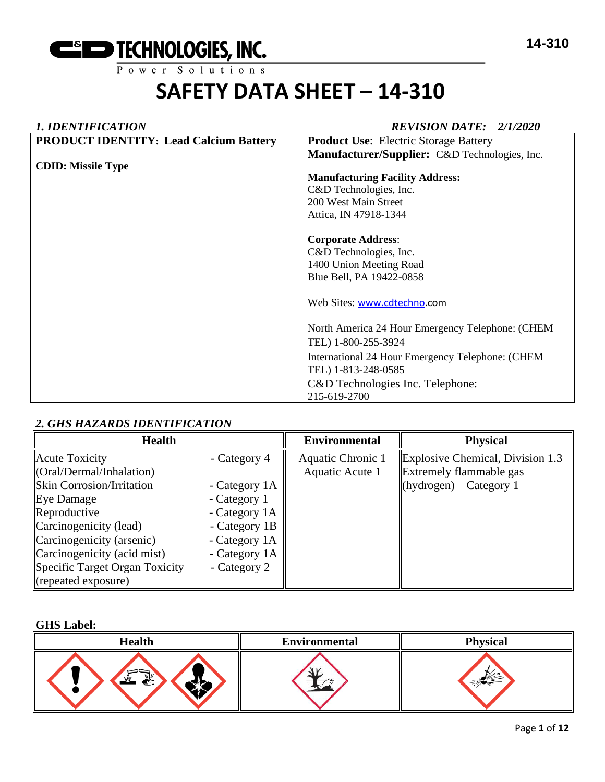

# *1. IDENTIFICATION REVISION DATE: 2/1/2020* **PRODUCT IDENTITY: Lead Calcium Battery CDID: Missile Type Product Use**: Electric Storage Battery **Manufacturer/Supplier:** C&D Technologies, Inc. **Manufacturing Facility Address:**  C&D Technologies, Inc. 200 West Main Street Attica, IN 47918-1344 **Corporate Address**: C&D Technologies, Inc. 1400 Union Meeting Road Blue Bell, PA 19422-0858 Web Sites: [www.cdtechno.](http://www.cdtechno/)com North America 24 Hour Emergency Telephone: (CHEM TEL) 1-800-255-3924 International 24 Hour Emergency Telephone: (CHEM TEL) 1-813-248-0585 C&D Technologies Inc. Telephone: 215-619-2700

# *2. GHS HAZARDS IDENTIFICATION*

| <b>Health</b>                                                                                                                                                                                                                                 |                                                                                                                                   | <b>Environmental</b>                 | <b>Physical</b>                                                                                    |
|-----------------------------------------------------------------------------------------------------------------------------------------------------------------------------------------------------------------------------------------------|-----------------------------------------------------------------------------------------------------------------------------------|--------------------------------------|----------------------------------------------------------------------------------------------------|
| Acute Toxicity<br>$\langle$ Oral/Dermal/Inhalation)<br><b>Skin Corrosion/Irritation</b><br>Eye Damage<br>Reproductive<br>Carcinogenicity (lead)<br>Carcinogenicity (arsenic)<br>Carcinogenicity (acid mist)<br>Specific Target Organ Toxicity | - Category 4<br>- Category 1A<br>- Category 1<br>- Category 1A<br>- Category 1B<br>- Category 1A<br>- Category 1A<br>- Category 2 | Aquatic Chronic 1<br>Aquatic Acute 1 | Explosive Chemical, Division 1.3<br><b>Extremely flammable gas</b><br>$\ $ (hydrogen) – Category 1 |
| ( repeated exposure)                                                                                                                                                                                                                          |                                                                                                                                   |                                      |                                                                                                    |

#### **GHS Label:**

| <b>Health</b> | <b>Environmental</b> | <b>Physical</b> |
|---------------|----------------------|-----------------|
| WW<br>€       |                      |                 |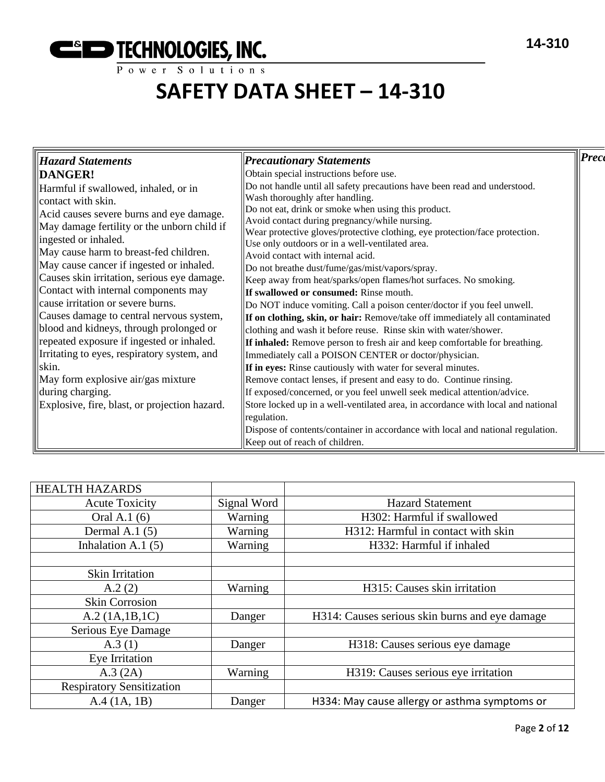

| Hazard Statements                             | <b>Precautionary Statements</b>                                                      | Prece |
|-----------------------------------------------|--------------------------------------------------------------------------------------|-------|
| DANGER!                                       | Obtain special instructions before use.                                              |       |
| Harmful if swallowed, inhaled, or in          | Do not handle until all safety precautions have been read and understood.            |       |
| contact with skin.                            | Wash thoroughly after handling.                                                      |       |
| Acid causes severe burns and eye damage.      | Do not eat, drink or smoke when using this product.                                  |       |
| May damage fertility or the unborn child if   | Avoid contact during pregnancy/while nursing.                                        |       |
| ingested or inhaled.                          | Wear protective gloves/protective clothing, eye protection/face protection.          |       |
| May cause harm to breast-fed children.        | Use only outdoors or in a well-ventilated area.<br>Avoid contact with internal acid. |       |
| May cause cancer if ingested or inhaled.      | Do not breathe dust/fume/gas/mist/vapors/spray.                                      |       |
| Causes skin irritation, serious eye damage.   | Keep away from heat/sparks/open flames/hot surfaces. No smoking.                     |       |
| Contact with internal components may          | <b>If swallowed or consumed:</b> Rinse mouth.                                        |       |
| cause irritation or severe burns.             | Do NOT induce vomiting. Call a poison center/doctor if you feel unwell.              |       |
| Causes damage to central nervous system,      | <b>If on clothing, skin, or hair:</b> Remove/take off immediately all contaminated   |       |
| blood and kidneys, through prolonged or       | clothing and wash it before reuse. Rinse skin with water/shower.                     |       |
| repeated exposure if ingested or inhaled.     | <b>If inhaled:</b> Remove person to fresh air and keep comfortable for breathing.    |       |
| Irritating to eyes, respiratory system, and   | Immediately call a POISON CENTER or doctor/physician.                                |       |
| skin.                                         | If in eyes: Rinse cautiously with water for several minutes.                         |       |
| May form explosive air/gas mixture            | Remove contact lenses, if present and easy to do. Continue rinsing.                  |       |
| during charging.                              | If exposed/concerned, or you feel unwell seek medical attention/advice.              |       |
|                                               |                                                                                      |       |
| Explosive, fire, blast, or projection hazard. | Store locked up in a well-ventilated area, in accordance with local and national     |       |
|                                               | regulation.                                                                          |       |
|                                               | Dispose of contents/container in accordance with local and national regulation.      |       |
|                                               | Keep out of reach of children.                                                       |       |

| <b>HEALTH HAZARDS</b>            |             |                                                |
|----------------------------------|-------------|------------------------------------------------|
| <b>Acute Toxicity</b>            | Signal Word | <b>Hazard Statement</b>                        |
| Oral A.1 (6)                     | Warning     | H302: Harmful if swallowed                     |
| Dermal A.1 $(5)$                 | Warning     | H312: Harmful in contact with skin             |
| Inhalation A.1 $(5)$             | Warning     | H332: Harmful if inhaled                       |
|                                  |             |                                                |
| Skin Irritation                  |             |                                                |
| A.2(2)                           | Warning     | H315: Causes skin irritation                   |
| <b>Skin Corrosion</b>            |             |                                                |
| A.2 (1A.1B.1C)                   | Danger      | H314: Causes serious skin burns and eye damage |
| Serious Eye Damage               |             |                                                |
| A.3(1)                           | Danger      | H318: Causes serious eye damage                |
| Eye Irritation                   |             |                                                |
| A.3 (2A)                         | Warning     | H319: Causes serious eye irritation            |
| <b>Respiratory Sensitization</b> |             |                                                |
| A.4 (1A, 1B)                     | Danger      | H334: May cause allergy or asthma symptoms or  |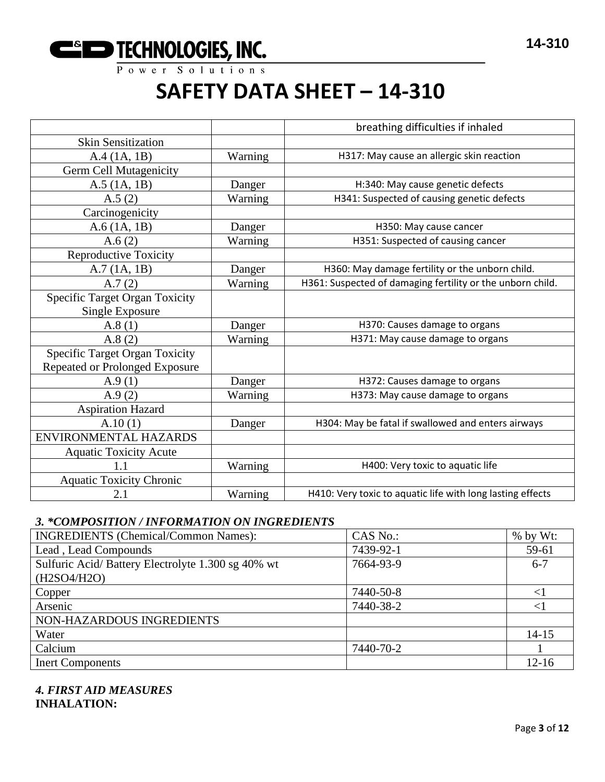

|                                       |         | breathing difficulties if inhaled                          |
|---------------------------------------|---------|------------------------------------------------------------|
| <b>Skin Sensitization</b>             |         |                                                            |
| A.4 (1A, 1B)                          | Warning | H317: May cause an allergic skin reaction                  |
| Germ Cell Mutagenicity                |         |                                                            |
| $A.5$ (1A, 1B)                        | Danger  | H:340: May cause genetic defects                           |
| A.5(2)                                | Warning | H341: Suspected of causing genetic defects                 |
| Carcinogenicity                       |         |                                                            |
| A.6(1A, 1B)                           | Danger  | H350: May cause cancer                                     |
| A. $6(2)$                             | Warning | H351: Suspected of causing cancer                          |
| <b>Reproductive Toxicity</b>          |         |                                                            |
| A.7(1A, 1B)                           | Danger  | H360: May damage fertility or the unborn child.            |
| A.7(2)                                | Warning | H361: Suspected of damaging fertility or the unborn child. |
| <b>Specific Target Organ Toxicity</b> |         |                                                            |
| <b>Single Exposure</b>                |         |                                                            |
| A.8(1)                                | Danger  | H370: Causes damage to organs                              |
| A.8(2)                                | Warning | H371: May cause damage to organs                           |
| <b>Specific Target Organ Toxicity</b> |         |                                                            |
| <b>Repeated or Prolonged Exposure</b> |         |                                                            |
| A.9(1)                                | Danger  | H372: Causes damage to organs                              |
| A.9(2)                                | Warning | H373: May cause damage to organs                           |
| <b>Aspiration Hazard</b>              |         |                                                            |
| A.10(1)                               | Danger  | H304: May be fatal if swallowed and enters airways         |
| ENVIRONMENTAL HAZARDS                 |         |                                                            |
| <b>Aquatic Toxicity Acute</b>         |         |                                                            |
| 1.1                                   | Warning | H400: Very toxic to aquatic life                           |
| <b>Aquatic Toxicity Chronic</b>       |         |                                                            |
| 2.1                                   | Warning | H410: Very toxic to aquatic life with long lasting effects |

# *3. \*COMPOSITION / INFORMATION ON INGREDIENTS*

| <b>INGREDIENTS (Chemical/Common Names):</b>       | CAS No.:  | $%$ by Wt:  |
|---------------------------------------------------|-----------|-------------|
| Lead, Lead Compounds                              | 7439-92-1 | 59-61       |
| Sulfuric Acid/Battery Electrolyte 1.300 sg 40% wt | 7664-93-9 | $6 - 7$     |
| (H2SO4/H2O)                                       |           |             |
| Copper                                            | 7440-50-8 | $<$ $\vert$ |
| Arsenic                                           | 7440-38-2 | ${<}1$      |
| NON-HAZARDOUS INGREDIENTS                         |           |             |
| Water                                             |           | $14 - 15$   |
| Calcium                                           | 7440-70-2 |             |
| <b>Inert Components</b>                           |           | $12 - 16$   |

# *4. FIRST AID MEASURES* **INHALATION:**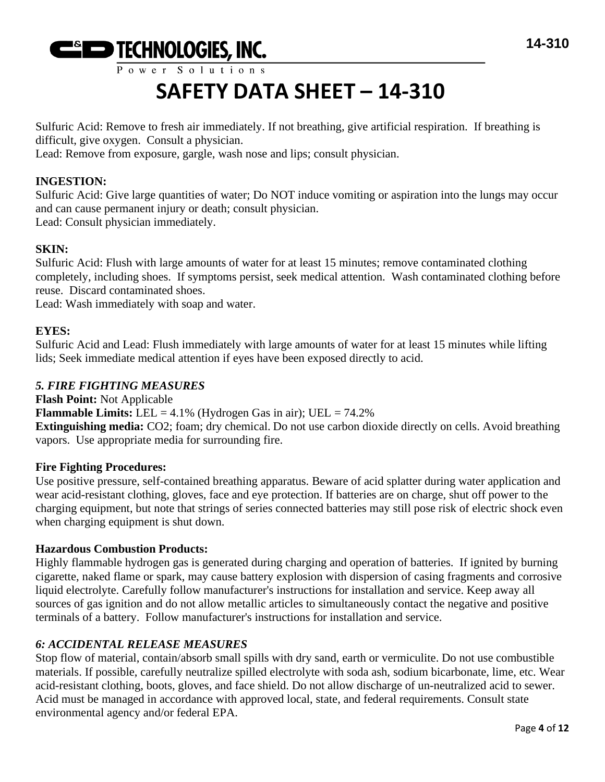

# **SAFETY DATA SHEET – 14-310**

Sulfuric Acid: Remove to fresh air immediately. If not breathing, give artificial respiration. If breathing is difficult, give oxygen. Consult a physician.

Lead: Remove from exposure, gargle, wash nose and lips; consult physician.

# **INGESTION:**

Sulfuric Acid: Give large quantities of water; Do NOT induce vomiting or aspiration into the lungs may occur and can cause permanent injury or death; consult physician. Lead: Consult physician immediately.

# **SKIN:**

Sulfuric Acid: Flush with large amounts of water for at least 15 minutes; remove contaminated clothing completely, including shoes. If symptoms persist, seek medical attention. Wash contaminated clothing before reuse. Discard contaminated shoes.

Lead: Wash immediately with soap and water.

# **EYES:**

Sulfuric Acid and Lead: Flush immediately with large amounts of water for at least 15 minutes while lifting lids; Seek immediate medical attention if eyes have been exposed directly to acid.

# *5. FIRE FIGHTING MEASURES*

**Flash Point:** Not Applicable **Flammable Limits:** LEL =  $4.1\%$  (Hydrogen Gas in air); UEL =  $74.2\%$ **Extinguishing media:** CO2; foam; dry chemical. Do not use carbon dioxide directly on cells. Avoid breathing vapors. Use appropriate media for surrounding fire.

# **Fire Fighting Procedures:**

Use positive pressure, self-contained breathing apparatus. Beware of acid splatter during water application and wear acid-resistant clothing, gloves, face and eye protection. If batteries are on charge, shut off power to the charging equipment, but note that strings of series connected batteries may still pose risk of electric shock even when charging equipment is shut down.

#### **Hazardous Combustion Products:**

Highly flammable hydrogen gas is generated during charging and operation of batteries. If ignited by burning cigarette, naked flame or spark, may cause battery explosion with dispersion of casing fragments and corrosive liquid electrolyte. Carefully follow manufacturer's instructions for installation and service. Keep away all sources of gas ignition and do not allow metallic articles to simultaneously contact the negative and positive terminals of a battery. Follow manufacturer's instructions for installation and service.

#### *6: ACCIDENTAL RELEASE MEASURES*

Stop flow of material, contain/absorb small spills with dry sand, earth or vermiculite. Do not use combustible materials. If possible, carefully neutralize spilled electrolyte with soda ash, sodium bicarbonate, lime, etc. Wear acid-resistant clothing, boots, gloves, and face shield. Do not allow discharge of un-neutralized acid to sewer. Acid must be managed in accordance with approved local, state, and federal requirements. Consult state environmental agency and/or federal EPA.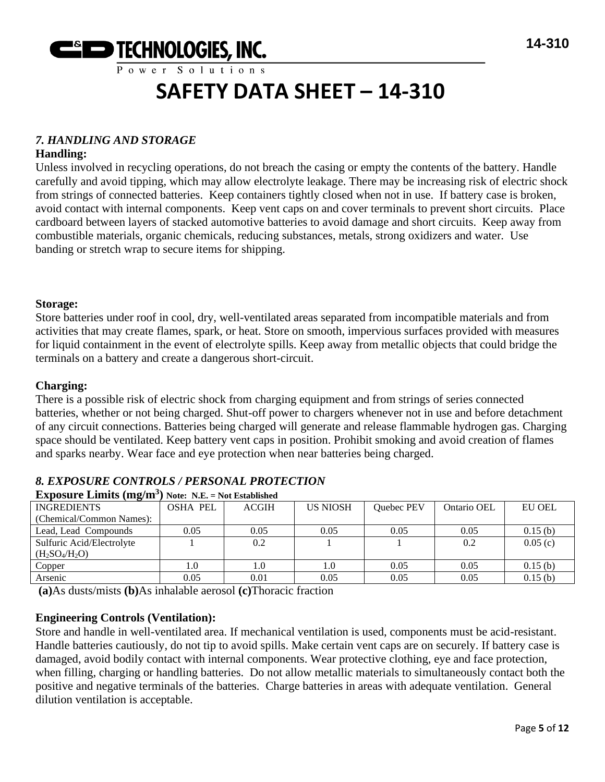

# *7. HANDLING AND STORAGE*

### **Handling:**

Unless involved in recycling operations, do not breach the casing or empty the contents of the battery. Handle carefully and avoid tipping, which may allow electrolyte leakage. There may be increasing risk of electric shock from strings of connected batteries. Keep containers tightly closed when not in use. If battery case is broken, avoid contact with internal components. Keep vent caps on and cover terminals to prevent short circuits. Place cardboard between layers of stacked automotive batteries to avoid damage and short circuits. Keep away from combustible materials, organic chemicals, reducing substances, metals, strong oxidizers and water. Use banding or stretch wrap to secure items for shipping.

#### **Storage:**

Store batteries under roof in cool, dry, well-ventilated areas separated from incompatible materials and from activities that may create flames, spark, or heat. Store on smooth, impervious surfaces provided with measures for liquid containment in the event of electrolyte spills. Keep away from metallic objects that could bridge the terminals on a battery and create a dangerous short-circuit.

### **Charging:**

There is a possible risk of electric shock from charging equipment and from strings of series connected batteries, whether or not being charged. Shut-off power to chargers whenever not in use and before detachment of any circuit connections. Batteries being charged will generate and release flammable hydrogen gas. Charging space should be ventilated. Keep battery vent caps in position. Prohibit smoking and avoid creation of flames and sparks nearby. Wear face and eye protection when near batteries being charged.

# *8. EXPOSURE CONTROLS / PERSONAL PROTECTION*

| $\mathbf{u}$              | $110001 - 1121 = 1100$ |              |                 |            |             |               |
|---------------------------|------------------------|--------------|-----------------|------------|-------------|---------------|
| <b>INGREDIENTS</b>        | <b>OSHA PEL</b>        | <b>ACGIH</b> | <b>US NIOSH</b> | Quebec PEV | Ontario OEL | <b>EU OEL</b> |
| (Chemical/Common Names):  |                        |              |                 |            |             |               |
| Lead, Lead Compounds      | 0.05                   | 0.05         | 0.05            | 0.05       | 0.05        | 0.15(b)       |
| Sulfuric Acid/Electrolyte |                        | 0.2          |                 |            | 0.2         | 0.05(c)       |
| $(H_2SO_4/H_2O)$          |                        |              |                 |            |             |               |
| Copper                    | 1.0                    | 1.0          | 1.0             | 0.05       | 0.05        | 0.15(b)       |
| Arsenic                   | 0.05                   | 0.01         | 0.05            | 0.05       | 0.05        | 0.15(b)       |

#### **Exposure Limits (mg/m<sup>3</sup> ) Note: N.E. = Not Established**

**(a)**As dusts/mists **(b)**As inhalable aerosol **(c)**Thoracic fraction

# **Engineering Controls (Ventilation):**

Store and handle in well-ventilated area. If mechanical ventilation is used, components must be acid-resistant. Handle batteries cautiously, do not tip to avoid spills. Make certain vent caps are on securely. If battery case is damaged, avoid bodily contact with internal components. Wear protective clothing, eye and face protection, when filling, charging or handling batteries. Do not allow metallic materials to simultaneously contact both the positive and negative terminals of the batteries. Charge batteries in areas with adequate ventilation. General dilution ventilation is acceptable.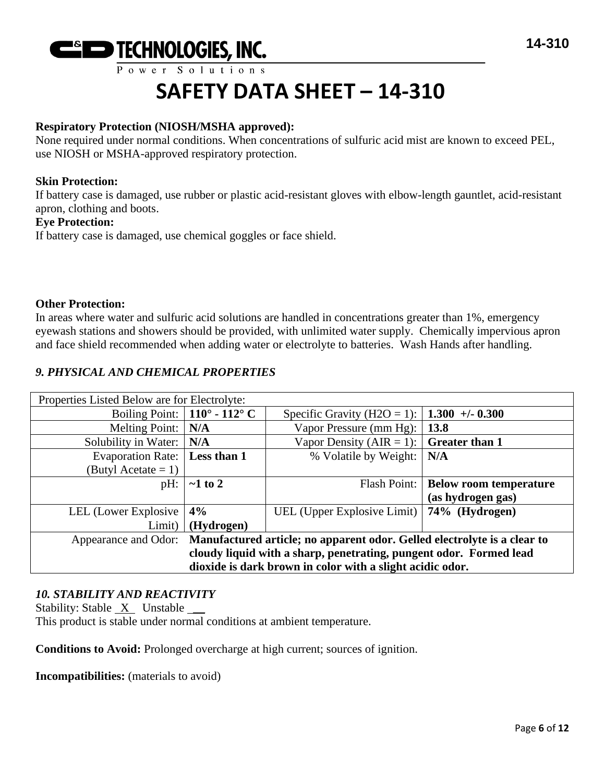

# **SAFETY DATA SHEET – 14-310**

### **Respiratory Protection (NIOSH/MSHA approved):**

None required under normal conditions. When concentrations of sulfuric acid mist are known to exceed PEL, use NIOSH or MSHA-approved respiratory protection.

#### **Skin Protection:**

If battery case is damaged, use rubber or plastic acid-resistant gloves with elbow-length gauntlet, acid-resistant apron, clothing and boots.

#### **Eye Protection:**

If battery case is damaged, use chemical goggles or face shield.

#### **Other Protection:**

In areas where water and sulfuric acid solutions are handled in concentrations greater than 1%, emergency eyewash stations and showers should be provided, with unlimited water supply. Chemically impervious apron and face shield recommended when adding water or electrolyte to batteries. Wash Hands after handling.

# *9. PHYSICAL AND CHEMICAL PROPERTIES*

| Properties Listed Below are for Electrolyte:                                                  |                                      |                                                 |                               |  |  |
|-----------------------------------------------------------------------------------------------|--------------------------------------|-------------------------------------------------|-------------------------------|--|--|
|                                                                                               | Boiling Point: $\vert$ 110° - 112° C | Specific Gravity (H2O = 1):                     | $1.300 + -0.300$              |  |  |
| <b>Melting Point:</b>                                                                         | N/A                                  | Vapor Pressure (mm Hg):                         | 13.8                          |  |  |
| Solubility in Water:                                                                          | N/A                                  | Vapor Density (AIR = 1):                        | <b>Greater than 1</b>         |  |  |
| <b>Evaporation Rate:</b>                                                                      | Less than 1                          | % Volatile by Weight:                           | N/A                           |  |  |
| (Butyl Acetate $= 1$ )                                                                        |                                      |                                                 |                               |  |  |
| pH:                                                                                           | $\sim$ 1 to 2                        | Flash Point:                                    | <b>Below room temperature</b> |  |  |
|                                                                                               |                                      |                                                 | (as hydrogen gas)             |  |  |
| LEL (Lower Explosive                                                                          | 4%                                   | UEL (Upper Explosive Limit)   $74\%$ (Hydrogen) |                               |  |  |
| Limit)                                                                                        | (Hydrogen)                           |                                                 |                               |  |  |
| Appearance and Odor: Manufactured article; no apparent odor. Gelled electrolyte is a clear to |                                      |                                                 |                               |  |  |
| cloudy liquid with a sharp, penetrating, pungent odor. Formed lead                            |                                      |                                                 |                               |  |  |
| dioxide is dark brown in color with a slight acidic odor.                                     |                                      |                                                 |                               |  |  |

# *10. STABILITY AND REACTIVITY*

Stability: Stable  $X$  Unstable  $\_\_\_\$ This product is stable under normal conditions at ambient temperature.

**Conditions to Avoid:** Prolonged overcharge at high current; sources of ignition.

**Incompatibilities:** (materials to avoid)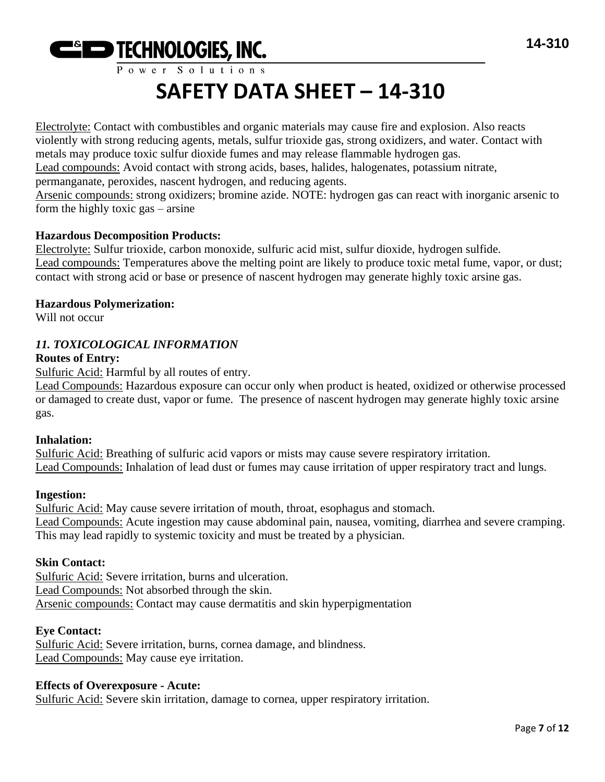

# **SAFETY DATA SHEET – 14-310**

Electrolyte: Contact with combustibles and organic materials may cause fire and explosion. Also reacts violently with strong reducing agents, metals, sulfur trioxide gas, strong oxidizers, and water. Contact with metals may produce toxic sulfur dioxide fumes and may release flammable hydrogen gas. Lead compounds: Avoid contact with strong acids, bases, halides, halogenates, potassium nitrate, permanganate, peroxides, nascent hydrogen, and reducing agents.

Arsenic compounds: strong oxidizers; bromine azide. NOTE: hydrogen gas can react with inorganic arsenic to form the highly toxic gas – arsine

#### **Hazardous Decomposition Products:**

Electrolyte: Sulfur trioxide, carbon monoxide, sulfuric acid mist, sulfur dioxide, hydrogen sulfide. Lead compounds: Temperatures above the melting point are likely to produce toxic metal fume, vapor, or dust; contact with strong acid or base or presence of nascent hydrogen may generate highly toxic arsine gas.

#### **Hazardous Polymerization:**

Will not occur

# *11. TOXICOLOGICAL INFORMATION*

# **Routes of Entry:**

Sulfuric Acid: Harmful by all routes of entry.

Lead Compounds: Hazardous exposure can occur only when product is heated, oxidized or otherwise processed or damaged to create dust, vapor or fume. The presence of nascent hydrogen may generate highly toxic arsine gas.

#### **Inhalation:**

Sulfuric Acid: Breathing of sulfuric acid vapors or mists may cause severe respiratory irritation. Lead Compounds: Inhalation of lead dust or fumes may cause irritation of upper respiratory tract and lungs.

#### **Ingestion:**

Sulfuric Acid: May cause severe irritation of mouth, throat, esophagus and stomach. Lead Compounds: Acute ingestion may cause abdominal pain, nausea, vomiting, diarrhea and severe cramping. This may lead rapidly to systemic toxicity and must be treated by a physician.

#### **Skin Contact:**

Sulfuric Acid: Severe irritation, burns and ulceration. Lead Compounds: Not absorbed through the skin. Arsenic compounds: Contact may cause dermatitis and skin hyperpigmentation

#### **Eye Contact:**

Sulfuric Acid: Severe irritation, burns, cornea damage, and blindness. Lead Compounds: May cause eye irritation.

#### **Effects of Overexposure - Acute:**

Sulfuric Acid: Severe skin irritation, damage to cornea, upper respiratory irritation.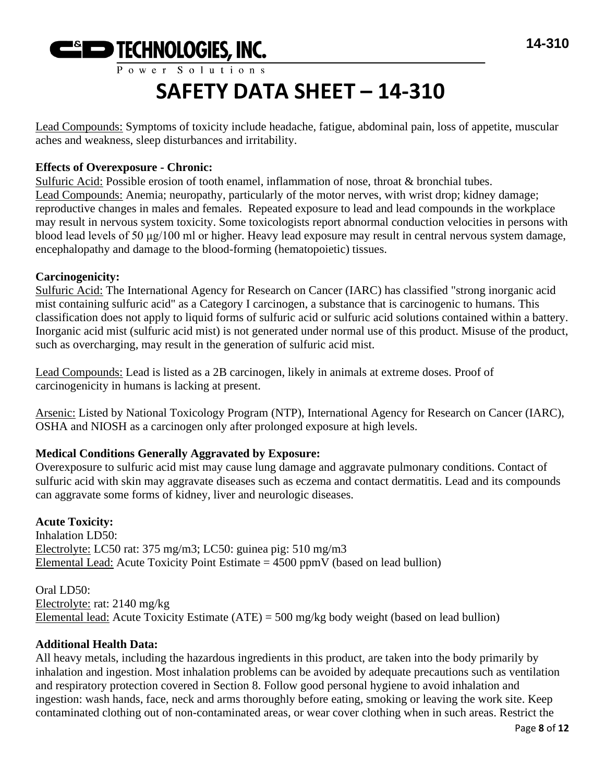

Lead Compounds: Symptoms of toxicity include headache, fatigue, abdominal pain, loss of appetite, muscular aches and weakness, sleep disturbances and irritability.

# **Effects of Overexposure - Chronic:**

Sulfuric Acid: Possible erosion of tooth enamel, inflammation of nose, throat & bronchial tubes. Lead Compounds: Anemia; neuropathy, particularly of the motor nerves, with wrist drop; kidney damage; reproductive changes in males and females. Repeated exposure to lead and lead compounds in the workplace may result in nervous system toxicity. Some toxicologists report abnormal conduction velocities in persons with blood lead levels of 50 μg/100 ml or higher. Heavy lead exposure may result in central nervous system damage, encephalopathy and damage to the blood-forming (hematopoietic) tissues.

# **Carcinogenicity:**

Sulfuric Acid: The International Agency for Research on Cancer (IARC) has classified "strong inorganic acid mist containing sulfuric acid" as a Category I carcinogen, a substance that is carcinogenic to humans. This classification does not apply to liquid forms of sulfuric acid or sulfuric acid solutions contained within a battery. Inorganic acid mist (sulfuric acid mist) is not generated under normal use of this product. Misuse of the product, such as overcharging, may result in the generation of sulfuric acid mist.

Lead Compounds: Lead is listed as a 2B carcinogen, likely in animals at extreme doses. Proof of carcinogenicity in humans is lacking at present.

Arsenic: Listed by National Toxicology Program (NTP), International Agency for Research on Cancer (IARC), OSHA and NIOSH as a carcinogen only after prolonged exposure at high levels.

# **Medical Conditions Generally Aggravated by Exposure:**

Overexposure to sulfuric acid mist may cause lung damage and aggravate pulmonary conditions. Contact of sulfuric acid with skin may aggravate diseases such as eczema and contact dermatitis. Lead and its compounds can aggravate some forms of kidney, liver and neurologic diseases.

# **Acute Toxicity:**

Inhalation LD50: Electrolyte: LC50 rat: 375 mg/m3; LC50: guinea pig: 510 mg/m3 Elemental Lead: Acute Toxicity Point Estimate  $= 4500$  ppmV (based on lead bullion)

Oral LD50: Electrolyte: rat: 2140 mg/kg Elemental lead: Acute Toxicity Estimate (ATE) = 500 mg/kg body weight (based on lead bullion)

# **Additional Health Data:**

All heavy metals, including the hazardous ingredients in this product, are taken into the body primarily by inhalation and ingestion. Most inhalation problems can be avoided by adequate precautions such as ventilation and respiratory protection covered in Section 8. Follow good personal hygiene to avoid inhalation and ingestion: wash hands, face, neck and arms thoroughly before eating, smoking or leaving the work site. Keep contaminated clothing out of non-contaminated areas, or wear cover clothing when in such areas. Restrict the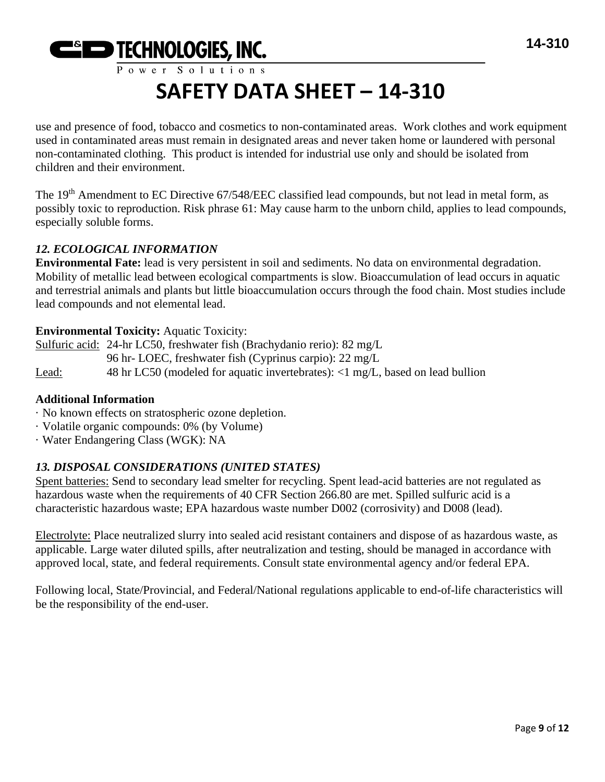

use and presence of food, tobacco and cosmetics to non-contaminated areas. Work clothes and work equipment used in contaminated areas must remain in designated areas and never taken home or laundered with personal non-contaminated clothing. This product is intended for industrial use only and should be isolated from children and their environment.

The 19<sup>th</sup> Amendment to EC Directive 67/548/EEC classified lead compounds, but not lead in metal form, as possibly toxic to reproduction. Risk phrase 61: May cause harm to the unborn child, applies to lead compounds, especially soluble forms.

# *12. ECOLOGICAL INFORMATION*

**Environmental Fate:** lead is very persistent in soil and sediments. No data on environmental degradation. Mobility of metallic lead between ecological compartments is slow. Bioaccumulation of lead occurs in aquatic and terrestrial animals and plants but little bioaccumulation occurs through the food chain. Most studies include lead compounds and not elemental lead.

# **Environmental Toxicity:** Aquatic Toxicity:

Sulfuric acid: 24-hr LC50, freshwater fish (Brachydanio rerio): 82 mg/L 96 hr- LOEC, freshwater fish (Cyprinus carpio): 22 mg/L Lead: 48 hr LC50 (modeled for aquatic invertebrates): <1 mg/L, based on lead bullion

# **Additional Information**

- · No known effects on stratospheric ozone depletion.
- · Volatile organic compounds: 0% (by Volume)
- · Water Endangering Class (WGK): NA

# *13. DISPOSAL CONSIDERATIONS (UNITED STATES)*

Spent batteries: Send to secondary lead smelter for recycling. Spent lead-acid batteries are not regulated as hazardous waste when the requirements of 40 CFR Section 266.80 are met. Spilled sulfuric acid is a characteristic hazardous waste; EPA hazardous waste number D002 (corrosivity) and D008 (lead).

Electrolyte: Place neutralized slurry into sealed acid resistant containers and dispose of as hazardous waste, as applicable. Large water diluted spills, after neutralization and testing, should be managed in accordance with approved local, state, and federal requirements. Consult state environmental agency and/or federal EPA.

Following local, State/Provincial, and Federal/National regulations applicable to end-of-life characteristics will be the responsibility of the end-user.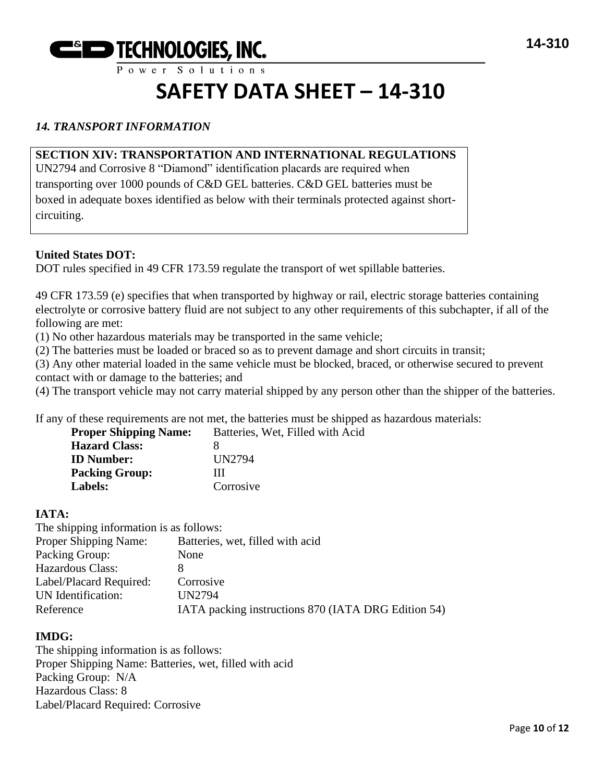

# **SAFETY DATA SHEET – 14-310**

# *14. TRANSPORT INFORMATION*

# **SECTION XIV: TRANSPORTATION AND INTERNATIONAL REGULATIONS**

UN2794 and Corrosive 8 "Diamond" identification placards are required when transporting over 1000 pounds of C&D GEL batteries. C&D GEL batteries must be boxed in adequate boxes identified as below with their terminals protected against shortcircuiting.

#### **United States DOT:**

DOT rules specified in 49 CFR 173.59 regulate the transport of wet spillable batteries.

49 CFR 173.59 (e) specifies that when transported by highway or rail, electric storage batteries containing electrolyte or corrosive battery fluid are not subject to any other requirements of this subchapter, if all of the following are met:

(1) No other hazardous materials may be transported in the same vehicle;

(2) The batteries must be loaded or braced so as to prevent damage and short circuits in transit;

(3) Any other material loaded in the same vehicle must be blocked, braced, or otherwise secured to prevent contact with or damage to the batteries; and

(4) The transport vehicle may not carry material shipped by any person other than the shipper of the batteries.

If any of these requirements are not met, the batteries must be shipped as hazardous materials:

| <b>Proper Shipping Name:</b> | Batteries, Wet, Filled with Acid |
|------------------------------|----------------------------------|
| <b>Hazard Class:</b>         |                                  |
| <b>ID</b> Number:            | UN2794                           |
| <b>Packing Group:</b>        | Ш                                |
| Labels:                      | Corrosive                        |

#### **IATA:**

The shipping information is as follows: Proper Shipping Name: Batteries, wet, filled with acid Packing Group: None Hazardous Class: 8 Label/Placard Required: Corrosive UN Identification: UN2794 Reference IATA packing instructions 870 (IATA DRG Edition 54)

# **IMDG:**

The shipping information is as follows: Proper Shipping Name: Batteries, wet, filled with acid Packing Group: N/A Hazardous Class: 8 Label/Placard Required: Corrosive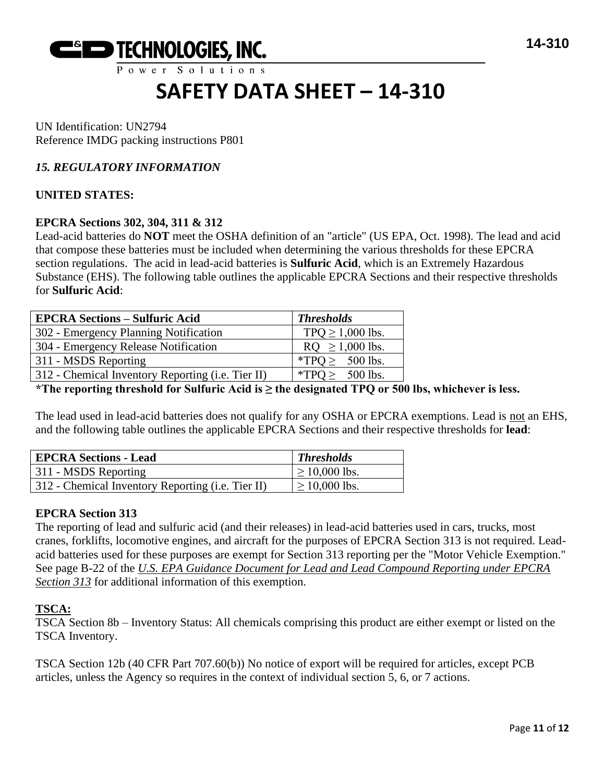

UN Identification: UN2794 Reference IMDG packing instructions P801

# *15. REGULATORY INFORMATION*

# **UNITED STATES:**

#### **EPCRA Sections 302, 304, 311 & 312**

Lead-acid batteries do **NOT** meet the OSHA definition of an "article" (US EPA, Oct. 1998). The lead and acid that compose these batteries must be included when determining the various thresholds for these EPCRA section regulations. The acid in lead-acid batteries is **Sulfuric Acid**, which is an Extremely Hazardous Substance (EHS). The following table outlines the applicable EPCRA Sections and their respective thresholds for **Sulfuric Acid**:

| <b>EPCRA Sections - Sulfuric Acid</b>             | <b>Thresholds</b>    |
|---------------------------------------------------|----------------------|
| 302 - Emergency Planning Notification             | $TPQ \ge 1,000$ lbs. |
| 304 - Emergency Release Notification              | $RQ \ge 1,000$ lbs.  |
| 311 - MSDS Reporting                              | *TPO $\geq$ 500 lbs. |
| 312 - Chemical Inventory Reporting (i.e. Tier II) | *TPQ $\geq$ 500 lbs. |

**\*The reporting threshold for Sulfuric Acid is ≥ the designated TPQ or 500 lbs, whichever is less.**

The lead used in lead-acid batteries does not qualify for any OSHA or EPCRA exemptions. Lead is not an EHS, and the following table outlines the applicable EPCRA Sections and their respective thresholds for **lead**:

| <b>EPCRA Sections - Lead</b>                              | <b>Thresholds</b>  |
|-----------------------------------------------------------|--------------------|
| 311 - MSDS Reporting                                      | $\geq 10,000$ lbs. |
| 312 - Chemical Inventory Reporting ( <i>i.e.</i> Tier II) | $\geq 10,000$ lbs. |

# **EPCRA Section 313**

The reporting of lead and sulfuric acid (and their releases) in lead-acid batteries used in cars, trucks, most cranes, forklifts, locomotive engines, and aircraft for the purposes of EPCRA Section 313 is not required. Leadacid batteries used for these purposes are exempt for Section 313 reporting per the "Motor Vehicle Exemption." See page B-22 of the *U.S. EPA Guidance Document for Lead and Lead Compound Reporting under EPCRA Section 313* for additional information of this exemption.

#### **TSCA:**

TSCA Section 8b – Inventory Status: All chemicals comprising this product are either exempt or listed on the TSCA Inventory.

TSCA Section 12b (40 CFR Part 707.60(b)) No notice of export will be required for articles, except PCB articles, unless the Agency so requires in the context of individual section 5, 6, or 7 actions.